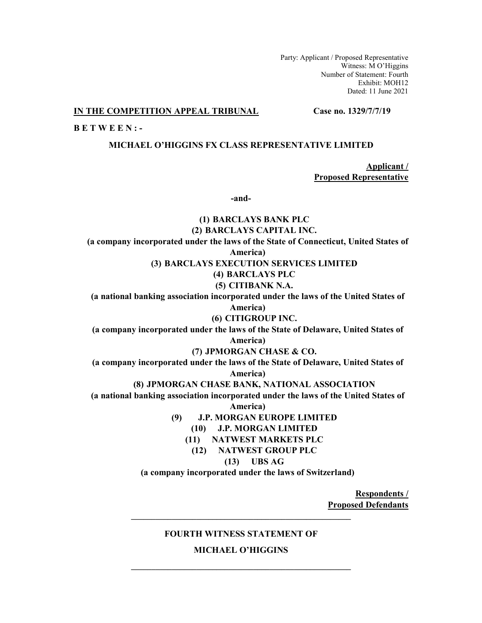Party: Applicant / Proposed Representative Witness: M O'Higgins Number of Statement: Fourth Exhibit: MOH12 Dated: 11 June 2021

## **IN THE COMPETITION APPEAL TRIBUNAL Case no. 1329/7/7/19**

**B E T W E E N : -**

### **MICHAEL O'HIGGINS FX CLASS REPRESENTATIVE LIMITED**

**Applicant / Proposed Representative**

**-and-**

**(1) BARCLAYS BANK PLC (2) BARCLAYS CAPITAL INC. (a company incorporated under the laws of the State of Connecticut, United States of America) (3) BARCLAYS EXECUTION SERVICES LIMITED (4) BARCLAYS PLC (5) CITIBANK N.A. (a national banking association incorporated under the laws of the United States of America) (6) CITIGROUP INC. (a company incorporated under the laws of the State of Delaware, United States of America) (7) JPMORGAN CHASE & CO. (a company incorporated under the laws of the State of Delaware, United States of America) (8) JPMORGAN CHASE BANK, NATIONAL ASSOCIATION (a national banking association incorporated under the laws of the United States of America) (9) J.P. MORGAN EUROPE LIMITED (10) J.P. MORGAN LIMITED (11) NATWEST MARKETS PLC (12) NATWEST GROUP PLC (13) UBS AG (a company incorporated under the laws of Switzerland)**

> **Respondents / Proposed Defendants**

### **FOURTH WITNESS STATEMENT OF**

**\_\_\_\_\_\_\_\_\_\_\_\_\_\_\_\_\_\_\_\_\_\_\_\_\_\_\_\_\_\_\_\_\_\_\_\_\_\_\_\_\_\_\_\_\_\_\_\_\_\_\_\_\_\_** 

**MICHAEL O'HIGGINS**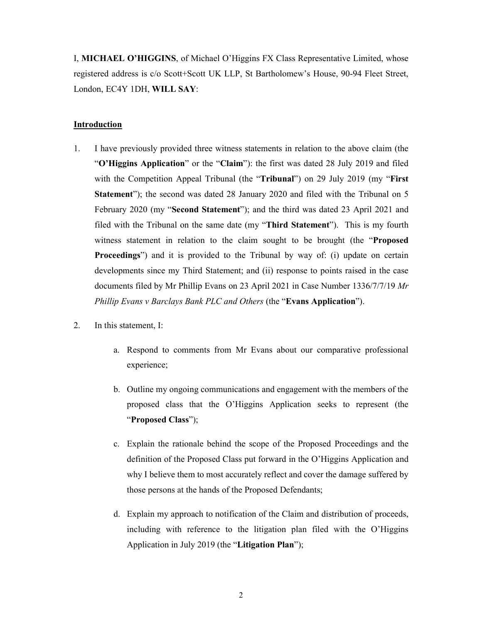I, **MICHAEL O'HIGGINS**, of Michael O'Higgins FX Class Representative Limited, whose registered address is c/o Scott+Scott UK LLP, St Bartholomew's House, 90-94 Fleet Street, London, EC4Y 1DH, **WILL SAY**:

# **Introduction**

- 1. I have previously provided three witness statements in relation to the above claim (the "**O'Higgins Application**" or the "**Claim**"): the first was dated 28 July 2019 and filed with the Competition Appeal Tribunal (the "**Tribunal**") on 29 July 2019 (my "**First Statement**"); the second was dated 28 January 2020 and filed with the Tribunal on 5 February 2020 (my "**Second Statement**"); and the third was dated 23 April 2021 and filed with the Tribunal on the same date (my "**Third Statement**"). This is my fourth witness statement in relation to the claim sought to be brought (the "**Proposed Proceedings**") and it is provided to the Tribunal by way of: (i) update on certain developments since my Third Statement; and (ii) response to points raised in the case documents filed by Mr Phillip Evans on 23 April 2021 in Case Number 1336/7/7/19 *Mr Phillip Evans v Barclays Bank PLC and Others* (the "**Evans Application**").
- 2. In this statement, I:
	- a. Respond to comments from Mr Evans about our comparative professional experience;
	- b. Outline my ongoing communications and engagement with the members of the proposed class that the O'Higgins Application seeks to represent (the "**Proposed Class**");
	- c. Explain the rationale behind the scope of the Proposed Proceedings and the definition of the Proposed Class put forward in the O'Higgins Application and why I believe them to most accurately reflect and cover the damage suffered by those persons at the hands of the Proposed Defendants;
	- d. Explain my approach to notification of the Claim and distribution of proceeds, including with reference to the litigation plan filed with the O'Higgins Application in July 2019 (the "**Litigation Plan**");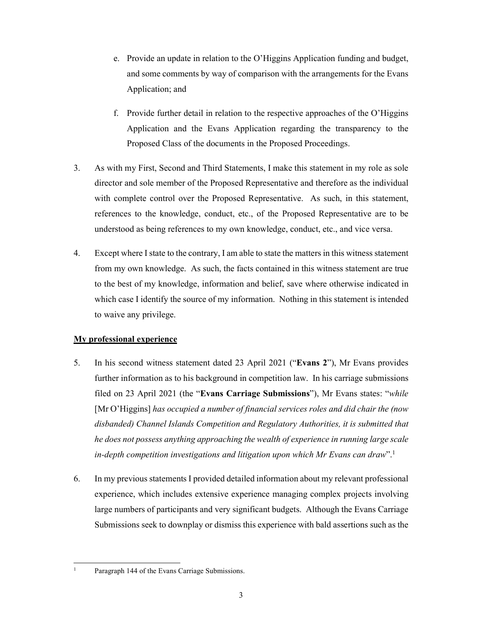- e. Provide an update in relation to the O'Higgins Application funding and budget, and some comments by way of comparison with the arrangements for the Evans Application; and
- f. Provide further detail in relation to the respective approaches of the O'Higgins Application and the Evans Application regarding the transparency to the Proposed Class of the documents in the Proposed Proceedings.
- 3. As with my First, Second and Third Statements, I make this statement in my role as sole director and sole member of the Proposed Representative and therefore as the individual with complete control over the Proposed Representative. As such, in this statement, references to the knowledge, conduct, etc., of the Proposed Representative are to be understood as being references to my own knowledge, conduct, etc., and vice versa.
- 4. Except where I state to the contrary, I am able to state the matters in this witness statement from my own knowledge. As such, the facts contained in this witness statement are true to the best of my knowledge, information and belief, save where otherwise indicated in which case I identify the source of my information. Nothing in this statement is intended to waive any privilege.

# **My professional experience**

- 5. In his second witness statement dated 23 April 2021 ("**Evans 2**"), Mr Evans provides further information as to his background in competition law. In his carriage submissions filed on 23 April 2021 (the "**Evans Carriage Submissions**"), Mr Evans states: "*while* [Mr O'Higgins] *has occupied a number of financial services roles and did chair the (now disbanded) Channel Islands Competition and Regulatory Authorities, it is submitted that he does not possess anything approaching the wealth of experience in running large scale in-depth competition investigations and litigation upon which Mr Evans can draw*".1
- 6. In my previous statements I provided detailed information about my relevant professional experience, which includes extensive experience managing complex projects involving large numbers of participants and very significant budgets. Although the Evans Carriage Submissions seek to downplay or dismiss this experience with bald assertions such as the

<sup>-</sup>1 Paragraph 144 of the Evans Carriage Submissions.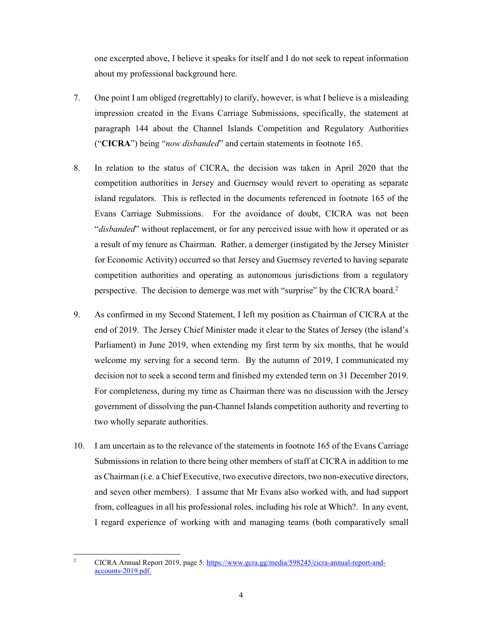one excerpted above, I believe it speaks for itself and I do not seek to repeat information about my professional background here.

- 7. One point I am obliged (regrettably) to clarify, however, is what I believe is a misleading impression created in the Evans Carriage Submissions, specifically, the statement at paragraph 144 about the Channel Islands Competition and Regulatory Authorities ("**CICRA**") being "*now disbanded*" and certain statements in footnote 165.
- 8. In relation to the status of CICRA, the decision was taken in April 2020 that the competition authorities in Jersey and Guernsey would revert to operating as separate island regulators. This is reflected in the documents referenced in footnote 165 of the Evans Carriage Submissions. For the avoidance of doubt, CICRA was not been "*disbanded*" without replacement, or for any perceived issue with how it operated or as a result of my tenure as Chairman. Rather, a demerger (instigated by the Jersey Minister for Economic Activity) occurred so that Jersey and Guernsey reverted to having separate competition authorities and operating as autonomous jurisdictions from a regulatory perspective. The decision to demerge was met with "surprise" by the CICRA board.2
- 9. As confirmed in my Second Statement, I left my position as Chairman of CICRA at the end of 2019. The Jersey Chief Minister made it clear to the States of Jersey (the island's Parliament) in June 2019, when extending my first term by six months, that he would welcome my serving for a second term. By the autumn of 2019, I communicated my decision not to seek a second term and finished my extended term on 31 December 2019. For completeness, during my time as Chairman there was no discussion with the Jersey government of dissolving the pan-Channel Islands competition authority and reverting to two wholly separate authorities.
- 10. I am uncertain as to the relevance of the statements in footnote 165 of the Evans Carriage Submissions in relation to there being other members of staff at CICRA in addition to me as Chairman (i.e. a Chief Executive, two executive directors, two non-executive directors, and seven other members). I assume that Mr Evans also worked with, and had support from, colleagues in all his professional roles, including his role at Which?. In any event, I regard experience of working with and managing teams (both comparatively small

 $\frac{1}{2}$  CICRA Annual Report 2019, page 5: https://www.gcra.gg/media/598245/cicra-annual-report-andaccounts-2019.pdf.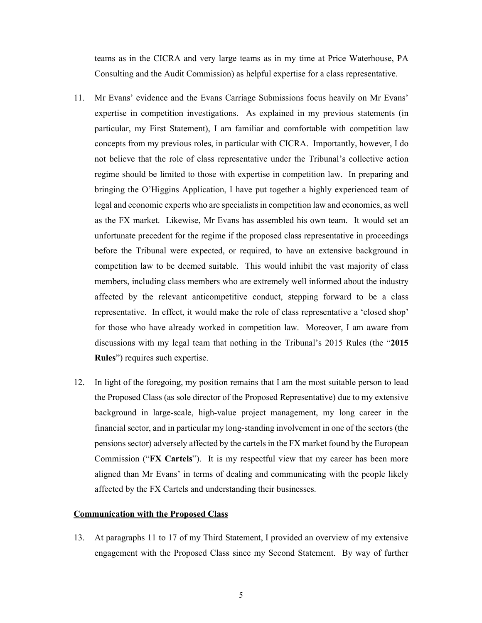teams as in the CICRA and very large teams as in my time at Price Waterhouse, PA Consulting and the Audit Commission) as helpful expertise for a class representative.

- 11. Mr Evans' evidence and the Evans Carriage Submissions focus heavily on Mr Evans' expertise in competition investigations. As explained in my previous statements (in particular, my First Statement), I am familiar and comfortable with competition law concepts from my previous roles, in particular with CICRA. Importantly, however, I do not believe that the role of class representative under the Tribunal's collective action regime should be limited to those with expertise in competition law. In preparing and bringing the O'Higgins Application, I have put together a highly experienced team of legal and economic experts who are specialists in competition law and economics, as well as the FX market. Likewise, Mr Evans has assembled his own team. It would set an unfortunate precedent for the regime if the proposed class representative in proceedings before the Tribunal were expected, or required, to have an extensive background in competition law to be deemed suitable. This would inhibit the vast majority of class members, including class members who are extremely well informed about the industry affected by the relevant anticompetitive conduct, stepping forward to be a class representative. In effect, it would make the role of class representative a 'closed shop' for those who have already worked in competition law. Moreover, I am aware from discussions with my legal team that nothing in the Tribunal's 2015 Rules (the "**2015 Rules**") requires such expertise.
- 12. In light of the foregoing, my position remains that I am the most suitable person to lead the Proposed Class (as sole director of the Proposed Representative) due to my extensive background in large-scale, high-value project management, my long career in the financial sector, and in particular my long-standing involvement in one of the sectors (the pensions sector) adversely affected by the cartels in the FX market found by the European Commission ("**FX Cartels**"). It is my respectful view that my career has been more aligned than Mr Evans' in terms of dealing and communicating with the people likely affected by the FX Cartels and understanding their businesses.

#### **Communication with the Proposed Class**

13. At paragraphs 11 to 17 of my Third Statement, I provided an overview of my extensive engagement with the Proposed Class since my Second Statement. By way of further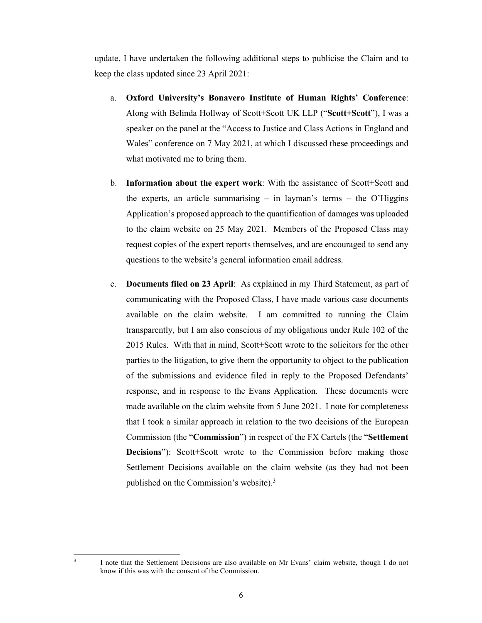update, I have undertaken the following additional steps to publicise the Claim and to keep the class updated since 23 April 2021:

- a. **Oxford University's Bonavero Institute of Human Rights' Conference**: Along with Belinda Hollway of Scott+Scott UK LLP ("**Scott+Scott**"), I was a speaker on the panel at the "Access to Justice and Class Actions in England and Wales" conference on 7 May 2021, at which I discussed these proceedings and what motivated me to bring them.
- b. **Information about the expert work**: With the assistance of Scott+Scott and the experts, an article summarising  $-$  in layman's terms  $-$  the O'Higgins Application's proposed approach to the quantification of damages was uploaded to the claim website on 25 May 2021. Members of the Proposed Class may request copies of the expert reports themselves, and are encouraged to send any questions to the website's general information email address.
- c. **Documents filed on 23 April**: As explained in my Third Statement, as part of communicating with the Proposed Class, I have made various case documents available on the claim website. I am committed to running the Claim transparently, but I am also conscious of my obligations under Rule 102 of the 2015 Rules. With that in mind, Scott+Scott wrote to the solicitors for the other parties to the litigation, to give them the opportunity to object to the publication of the submissions and evidence filed in reply to the Proposed Defendants' response, and in response to the Evans Application. These documents were made available on the claim website from 5 June 2021. I note for completeness that I took a similar approach in relation to the two decisions of the European Commission (the "**Commission**") in respect of the FX Cartels (the "**Settlement Decisions**"): Scott+Scott wrote to the Commission before making those Settlement Decisions available on the claim website (as they had not been published on the Commission's website).3

 $\frac{1}{3}$ 

I note that the Settlement Decisions are also available on Mr Evans' claim website, though I do not know if this was with the consent of the Commission.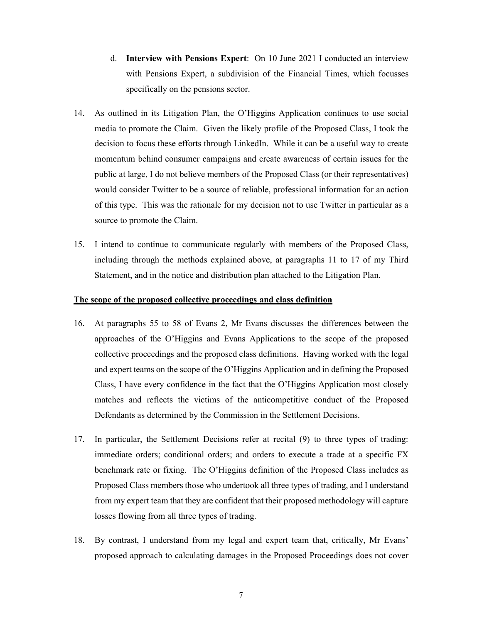- d. **Interview with Pensions Expert**: On 10 June 2021 I conducted an interview with Pensions Expert, a subdivision of the Financial Times, which focusses specifically on the pensions sector.
- 14. As outlined in its Litigation Plan, the O'Higgins Application continues to use social media to promote the Claim. Given the likely profile of the Proposed Class, I took the decision to focus these efforts through LinkedIn. While it can be a useful way to create momentum behind consumer campaigns and create awareness of certain issues for the public at large, I do not believe members of the Proposed Class (or their representatives) would consider Twitter to be a source of reliable, professional information for an action of this type. This was the rationale for my decision not to use Twitter in particular as a source to promote the Claim.
- 15. I intend to continue to communicate regularly with members of the Proposed Class, including through the methods explained above, at paragraphs 11 to 17 of my Third Statement, and in the notice and distribution plan attached to the Litigation Plan.

# **The scope of the proposed collective proceedings and class definition**

- 16. At paragraphs 55 to 58 of Evans 2, Mr Evans discusses the differences between the approaches of the O'Higgins and Evans Applications to the scope of the proposed collective proceedings and the proposed class definitions. Having worked with the legal and expert teams on the scope of the O'Higgins Application and in defining the Proposed Class, I have every confidence in the fact that the O'Higgins Application most closely matches and reflects the victims of the anticompetitive conduct of the Proposed Defendants as determined by the Commission in the Settlement Decisions.
- 17. In particular, the Settlement Decisions refer at recital (9) to three types of trading: immediate orders; conditional orders; and orders to execute a trade at a specific FX benchmark rate or fixing. The O'Higgins definition of the Proposed Class includes as Proposed Class members those who undertook all three types of trading, and I understand from my expert team that they are confident that their proposed methodology will capture losses flowing from all three types of trading.
- 18. By contrast, I understand from my legal and expert team that, critically, Mr Evans' proposed approach to calculating damages in the Proposed Proceedings does not cover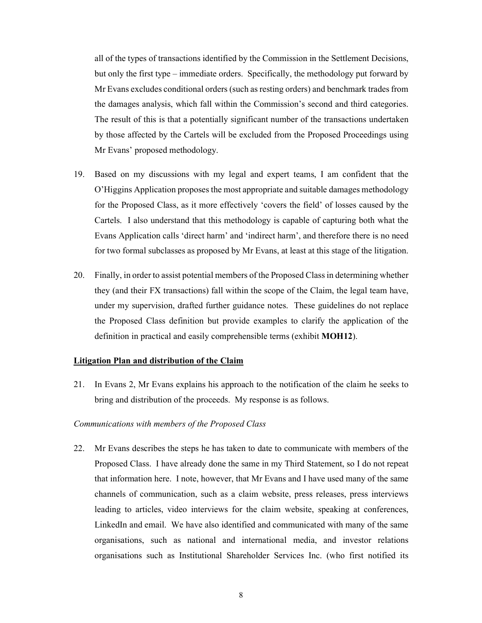all of the types of transactions identified by the Commission in the Settlement Decisions, but only the first type – immediate orders. Specifically, the methodology put forward by Mr Evans excludes conditional orders (such as resting orders) and benchmark trades from the damages analysis, which fall within the Commission's second and third categories. The result of this is that a potentially significant number of the transactions undertaken by those affected by the Cartels will be excluded from the Proposed Proceedings using Mr Evans' proposed methodology.

- 19. Based on my discussions with my legal and expert teams, I am confident that the O'Higgins Application proposes the most appropriate and suitable damages methodology for the Proposed Class, as it more effectively 'covers the field' of losses caused by the Cartels. I also understand that this methodology is capable of capturing both what the Evans Application calls 'direct harm' and 'indirect harm', and therefore there is no need for two formal subclasses as proposed by Mr Evans, at least at this stage of the litigation.
- 20. Finally, in order to assist potential members of the Proposed Class in determining whether they (and their FX transactions) fall within the scope of the Claim, the legal team have, under my supervision, drafted further guidance notes. These guidelines do not replace the Proposed Class definition but provide examples to clarify the application of the definition in practical and easily comprehensible terms (exhibit **MOH12**).

### **Litigation Plan and distribution of the Claim**

21. In Evans 2, Mr Evans explains his approach to the notification of the claim he seeks to bring and distribution of the proceeds. My response is as follows.

## *Communications with members of the Proposed Class*

22. Mr Evans describes the steps he has taken to date to communicate with members of the Proposed Class. I have already done the same in my Third Statement, so I do not repeat that information here. I note, however, that Mr Evans and I have used many of the same channels of communication, such as a claim website, press releases, press interviews leading to articles, video interviews for the claim website, speaking at conferences, LinkedIn and email. We have also identified and communicated with many of the same organisations, such as national and international media, and investor relations organisations such as Institutional Shareholder Services Inc. (who first notified its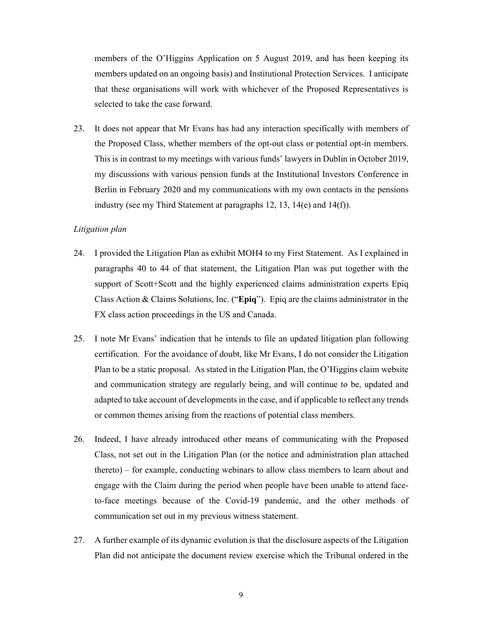members of the O'Higgins Application on 5 August 2019, and has been keeping its members updated on an ongoing basis) and Institutional Protection Services. I anticipate that these organisations will work with whichever of the Proposed Representatives is selected to take the case forward.

23. It does not appear that Mr Evans has had any interaction specifically with members of the Proposed Class, whether members of the opt-out class or potential opt-in members. This is in contrast to my meetings with various funds' lawyers in Dublin in October 2019, my discussions with various pension funds at the Institutional Investors Conference in Berlin in February 2020 and my communications with my own contacts in the pensions industry (see my Third Statement at paragraphs 12, 13, 14(e) and 14(f)).

# *Litigation plan*

- 24. I provided the Litigation Plan as exhibit MOH4 to my First Statement. As I explained in paragraphs 40 to 44 of that statement, the Litigation Plan was put together with the support of Scott+Scott and the highly experienced claims administration experts Epiq Class Action & Claims Solutions, Inc. ("**Epiq**"). Epiq are the claims administrator in the FX class action proceedings in the US and Canada.
- 25. I note Mr Evans' indication that he intends to file an updated litigation plan following certification. For the avoidance of doubt, like Mr Evans, I do not consider the Litigation Plan to be a static proposal. As stated in the Litigation Plan, the O'Higgins claim website and communication strategy are regularly being, and will continue to be, updated and adapted to take account of developments in the case, and if applicable to reflect any trends or common themes arising from the reactions of potential class members.
- 26. Indeed, I have already introduced other means of communicating with the Proposed Class, not set out in the Litigation Plan (or the notice and administration plan attached thereto) – for example, conducting webinars to allow class members to learn about and engage with the Claim during the period when people have been unable to attend faceto-face meetings because of the Covid-19 pandemic, and the other methods of communication set out in my previous witness statement.
- 27. A further example of its dynamic evolution is that the disclosure aspects of the Litigation Plan did not anticipate the document review exercise which the Tribunal ordered in the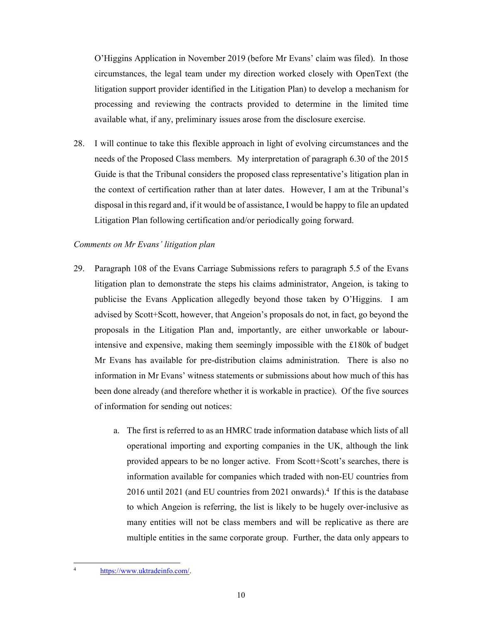O'Higgins Application in November 2019 (before Mr Evans' claim was filed). In those circumstances, the legal team under my direction worked closely with OpenText (the litigation support provider identified in the Litigation Plan) to develop a mechanism for processing and reviewing the contracts provided to determine in the limited time available what, if any, preliminary issues arose from the disclosure exercise.

28. I will continue to take this flexible approach in light of evolving circumstances and the needs of the Proposed Class members. My interpretation of paragraph 6.30 of the 2015 Guide is that the Tribunal considers the proposed class representative's litigation plan in the context of certification rather than at later dates. However, I am at the Tribunal's disposal in this regard and, if it would be of assistance, I would be happy to file an updated Litigation Plan following certification and/or periodically going forward.

## *Comments on Mr Evans' litigation plan*

- 29. Paragraph 108 of the Evans Carriage Submissions refers to paragraph 5.5 of the Evans litigation plan to demonstrate the steps his claims administrator, Angeion, is taking to publicise the Evans Application allegedly beyond those taken by O'Higgins. I am advised by Scott+Scott, however, that Angeion's proposals do not, in fact, go beyond the proposals in the Litigation Plan and, importantly, are either unworkable or labourintensive and expensive, making them seemingly impossible with the £180k of budget Mr Evans has available for pre-distribution claims administration. There is also no information in Mr Evans' witness statements or submissions about how much of this has been done already (and therefore whether it is workable in practice). Of the five sources of information for sending out notices:
	- a. The first is referred to as an HMRC trade information database which lists of all operational importing and exporting companies in the UK, although the link provided appears to be no longer active. From Scott+Scott's searches, there is information available for companies which traded with non-EU countries from 2016 until 2021 (and EU countries from 2021 onwards).<sup>4</sup> If this is the database to which Angeion is referring, the list is likely to be hugely over-inclusive as many entities will not be class members and will be replicative as there are multiple entities in the same corporate group. Further, the data only appears to

<sup>-</sup>4 https://www.uktradeinfo.com/.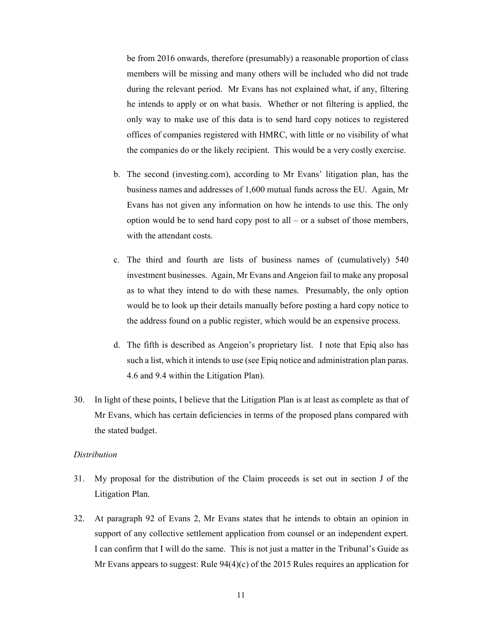be from 2016 onwards, therefore (presumably) a reasonable proportion of class members will be missing and many others will be included who did not trade during the relevant period. Mr Evans has not explained what, if any, filtering he intends to apply or on what basis. Whether or not filtering is applied, the only way to make use of this data is to send hard copy notices to registered offices of companies registered with HMRC, with little or no visibility of what the companies do or the likely recipient. This would be a very costly exercise.

- b. The second (investing.com), according to Mr Evans' litigation plan, has the business names and addresses of 1,600 mutual funds across the EU. Again, Mr Evans has not given any information on how he intends to use this. The only option would be to send hard copy post to all – or a subset of those members, with the attendant costs.
- c. The third and fourth are lists of business names of (cumulatively) 540 investment businesses. Again, Mr Evans and Angeion fail to make any proposal as to what they intend to do with these names. Presumably, the only option would be to look up their details manually before posting a hard copy notice to the address found on a public register, which would be an expensive process.
- d. The fifth is described as Angeion's proprietary list. I note that Epiq also has such a list, which it intends to use (see Epiq notice and administration plan paras. 4.6 and 9.4 within the Litigation Plan).
- 30. In light of these points, I believe that the Litigation Plan is at least as complete as that of Mr Evans, which has certain deficiencies in terms of the proposed plans compared with the stated budget.

#### *Distribution*

- 31. My proposal for the distribution of the Claim proceeds is set out in section J of the Litigation Plan.
- 32. At paragraph 92 of Evans 2, Mr Evans states that he intends to obtain an opinion in support of any collective settlement application from counsel or an independent expert. I can confirm that I will do the same. This is not just a matter in the Tribunal's Guide as Mr Evans appears to suggest: Rule  $94(4)(c)$  of the 2015 Rules requires an application for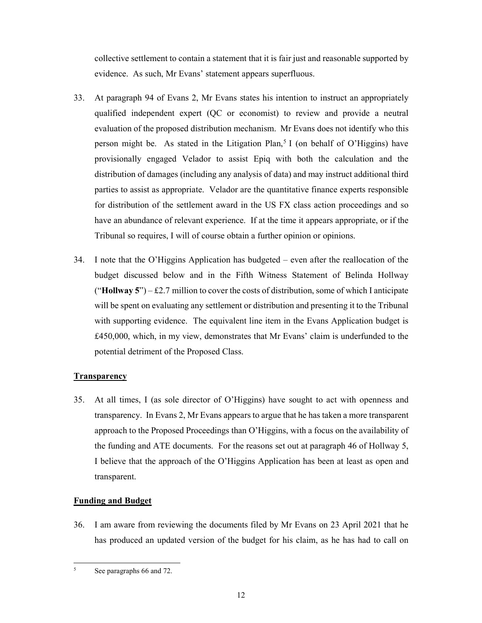collective settlement to contain a statement that it is fair just and reasonable supported by evidence. As such, Mr Evans' statement appears superfluous.

- 33. At paragraph 94 of Evans 2, Mr Evans states his intention to instruct an appropriately qualified independent expert (QC or economist) to review and provide a neutral evaluation of the proposed distribution mechanism. Mr Evans does not identify who this person might be. As stated in the Litigation Plan,<sup>5</sup> I (on behalf of O'Higgins) have provisionally engaged Velador to assist Epiq with both the calculation and the distribution of damages (including any analysis of data) and may instruct additional third parties to assist as appropriate. Velador are the quantitative finance experts responsible for distribution of the settlement award in the US FX class action proceedings and so have an abundance of relevant experience. If at the time it appears appropriate, or if the Tribunal so requires, I will of course obtain a further opinion or opinions.
- 34. I note that the O'Higgins Application has budgeted even after the reallocation of the budget discussed below and in the Fifth Witness Statement of Belinda Hollway ("**Hollway 5**") – £2.7 million to cover the costs of distribution, some of which I anticipate will be spent on evaluating any settlement or distribution and presenting it to the Tribunal with supporting evidence. The equivalent line item in the Evans Application budget is £450,000, which, in my view, demonstrates that Mr Evans' claim is underfunded to the potential detriment of the Proposed Class.

# **Transparency**

35. At all times, I (as sole director of O'Higgins) have sought to act with openness and transparency. In Evans 2, Mr Evans appears to argue that he has taken a more transparent approach to the Proposed Proceedings than O'Higgins, with a focus on the availability of the funding and ATE documents. For the reasons set out at paragraph 46 of Hollway 5, I believe that the approach of the O'Higgins Application has been at least as open and transparent.

# **Funding and Budget**

36. I am aware from reviewing the documents filed by Mr Evans on 23 April 2021 that he has produced an updated version of the budget for his claim, as he has had to call on

<sup>-</sup>5 See paragraphs 66 and 72.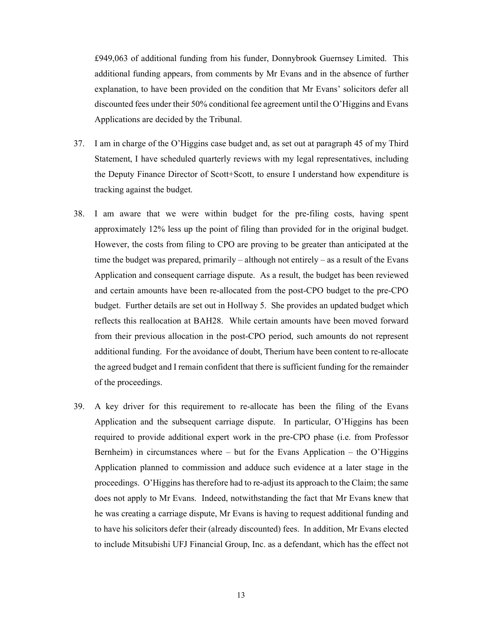£949,063 of additional funding from his funder, Donnybrook Guernsey Limited. This additional funding appears, from comments by Mr Evans and in the absence of further explanation, to have been provided on the condition that Mr Evans' solicitors defer all discounted fees under their 50% conditional fee agreement until the O'Higgins and Evans Applications are decided by the Tribunal.

- 37. I am in charge of the O'Higgins case budget and, as set out at paragraph 45 of my Third Statement, I have scheduled quarterly reviews with my legal representatives, including the Deputy Finance Director of Scott+Scott, to ensure I understand how expenditure is tracking against the budget.
- 38. I am aware that we were within budget for the pre-filing costs, having spent approximately 12% less up the point of filing than provided for in the original budget. However, the costs from filing to CPO are proving to be greater than anticipated at the time the budget was prepared, primarily – although not entirely – as a result of the Evans Application and consequent carriage dispute. As a result, the budget has been reviewed and certain amounts have been re-allocated from the post-CPO budget to the pre-CPO budget. Further details are set out in Hollway 5. She provides an updated budget which reflects this reallocation at BAH28. While certain amounts have been moved forward from their previous allocation in the post-CPO period, such amounts do not represent additional funding. For the avoidance of doubt, Therium have been content to re-allocate the agreed budget and I remain confident that there is sufficient funding for the remainder of the proceedings.
- 39. A key driver for this requirement to re-allocate has been the filing of the Evans Application and the subsequent carriage dispute. In particular, O'Higgins has been required to provide additional expert work in the pre-CPO phase (i.e. from Professor Bernheim) in circumstances where – but for the Evans Application – the O'Higgins Application planned to commission and adduce such evidence at a later stage in the proceedings. O'Higgins has therefore had to re-adjust its approach to the Claim; the same does not apply to Mr Evans. Indeed, notwithstanding the fact that Mr Evans knew that he was creating a carriage dispute, Mr Evans is having to request additional funding and to have his solicitors defer their (already discounted) fees. In addition, Mr Evans elected to include Mitsubishi UFJ Financial Group, Inc. as a defendant, which has the effect not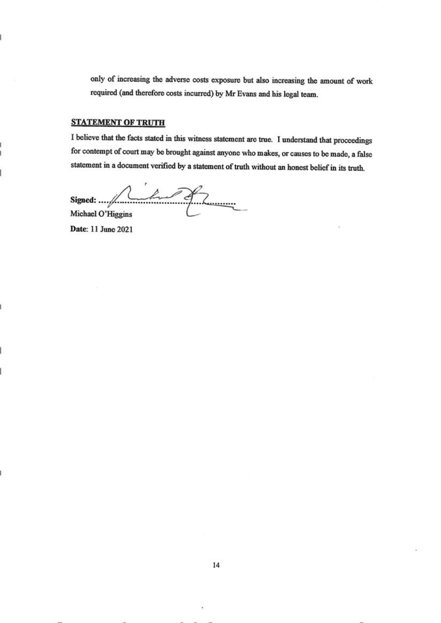only of increasing the adverse costs exposure but also increasing the amount of work required (and therefore costs incurred) by Mr Evans and his legal team.

#### **STATEMENT OF TRUTH**

I believe that the facts stated in this witness statement are true. I understand that proceedings for contempt of court may be brought against anyone who makes, or causes to be made, a false statement in a document verified by a statement of truth without an honest belief in its truth.

Signed: .... / Lub of Z Michael O'Higgins

Date: 11 June 2021